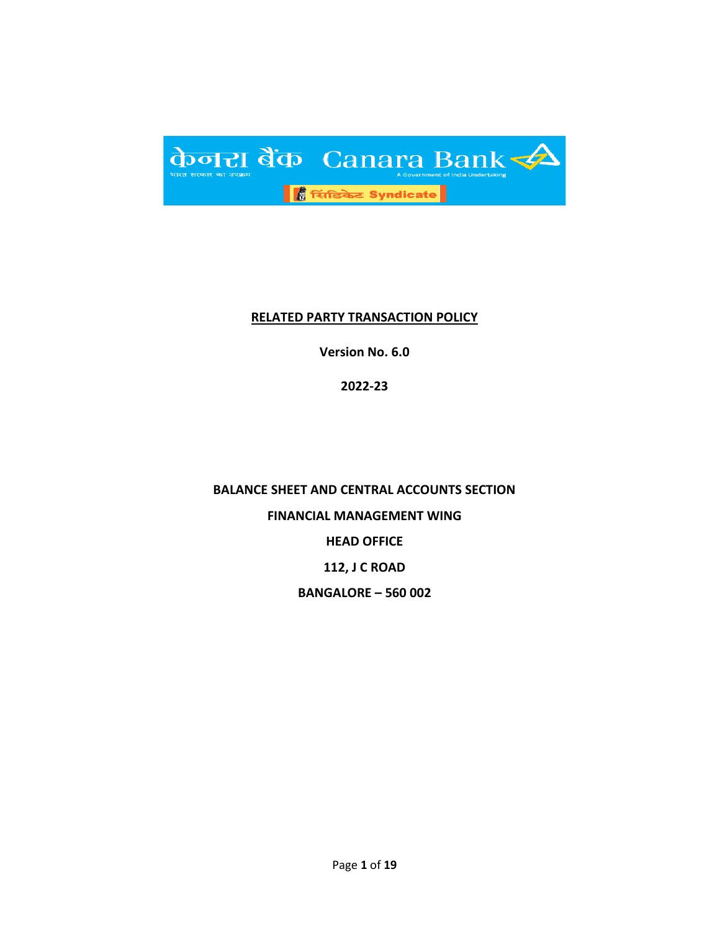

#### **RELATED PARTY TRANSACTION POLICY**

**Version No. 6.0**

**2022-23**

**BALANCE SHEET AND CENTRAL ACCOUNTS SECTION FINANCIAL MANAGEMENT WING HEAD OFFICE 112, J C ROAD BANGALORE – 560 002**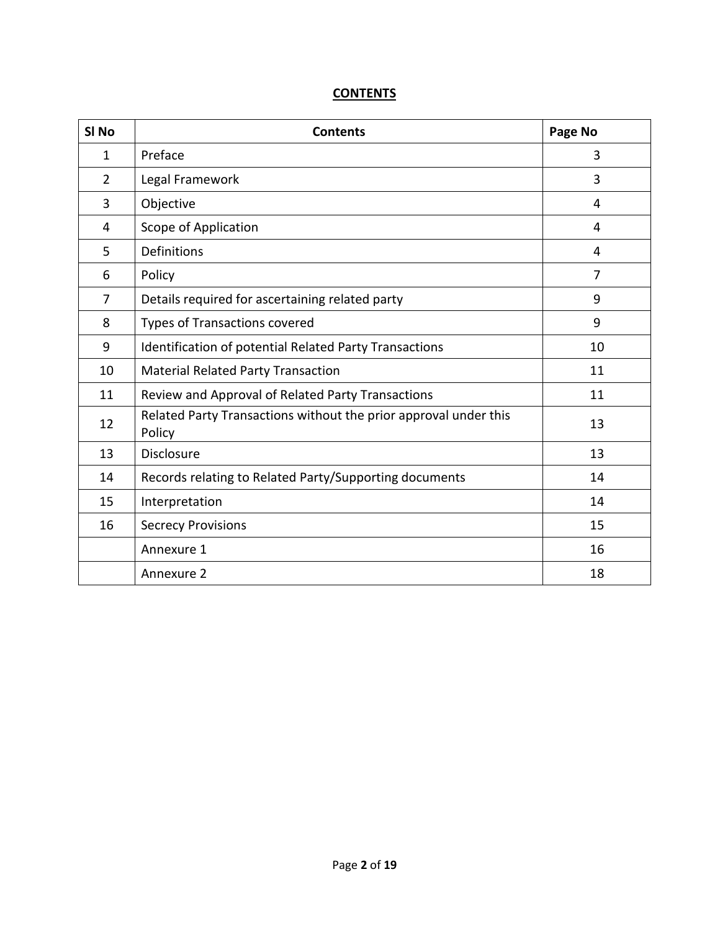# **CONTENTS**

| SI <sub>No</sub> | <b>Contents</b>                                                            | Page No        |
|------------------|----------------------------------------------------------------------------|----------------|
| $\mathbf{1}$     | Preface                                                                    | 3              |
| $\overline{2}$   | Legal Framework                                                            | 3              |
| 3                | Objective                                                                  | 4              |
| 4                | Scope of Application                                                       | 4              |
| 5                | Definitions                                                                | 4              |
| 6                | Policy                                                                     | $\overline{7}$ |
| 7                | Details required for ascertaining related party                            | 9              |
| 8                | <b>Types of Transactions covered</b>                                       | 9              |
| 9                | Identification of potential Related Party Transactions                     | 10             |
| 10               | <b>Material Related Party Transaction</b>                                  | 11             |
| 11               | Review and Approval of Related Party Transactions                          | 11             |
| 12               | Related Party Transactions without the prior approval under this<br>Policy | 13             |
| 13               | <b>Disclosure</b>                                                          | 13             |
| 14               | Records relating to Related Party/Supporting documents                     | 14             |
| 15               | Interpretation                                                             | 14             |
| 16               | <b>Secrecy Provisions</b>                                                  | 15             |
|                  | Annexure 1                                                                 | 16             |
|                  | Annexure 2                                                                 | 18             |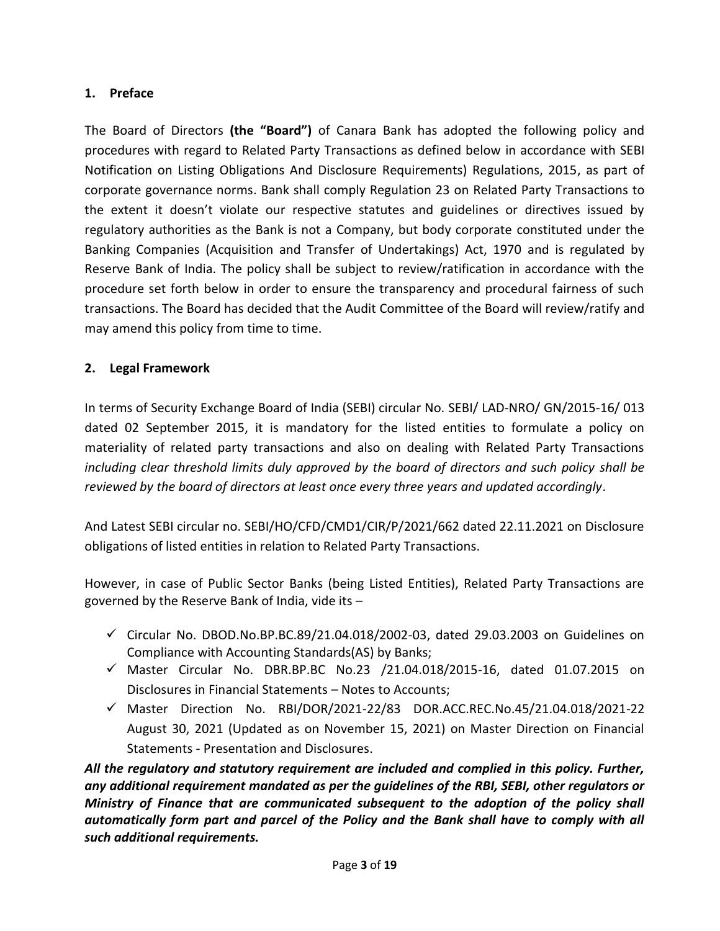# **1. Preface**

The Board of Directors **(the "Board")** of Canara Bank has adopted the following policy and procedures with regard to Related Party Transactions as defined below in accordance with SEBI Notification on Listing Obligations And Disclosure Requirements) Regulations, 2015, as part of corporate governance norms. Bank shall comply Regulation 23 on Related Party Transactions to the extent it doesn't violate our respective statutes and guidelines or directives issued by regulatory authorities as the Bank is not a Company, but body corporate constituted under the Banking Companies (Acquisition and Transfer of Undertakings) Act, 1970 and is regulated by Reserve Bank of India. The policy shall be subject to review/ratification in accordance with the procedure set forth below in order to ensure the transparency and procedural fairness of such transactions. The Board has decided that the Audit Committee of the Board will review/ratify and may amend this policy from time to time.

# **2. Legal Framework**

In terms of Security Exchange Board of India (SEBI) circular No. SEBI/ LAD-NRO/ GN/2015-16/ 013 dated 02 September 2015, it is mandatory for the listed entities to formulate a policy on materiality of related party transactions and also on dealing with Related Party Transactions *including clear threshold limits duly approved by the board of directors and such policy shall be reviewed by the board of directors at least once every three years and updated accordingly*.

And Latest SEBI circular no. SEBI/HO/CFD/CMD1/CIR/P/2021/662 dated 22.11.2021 on Disclosure obligations of listed entities in relation to Related Party Transactions.

However, in case of Public Sector Banks (being Listed Entities), Related Party Transactions are governed by the Reserve Bank of India, vide its –

- $\checkmark$  Circular No. DBOD.No.BP.BC.89/21.04.018/2002-03, dated 29.03.2003 on Guidelines on Compliance with Accounting Standards(AS) by Banks;
- $\checkmark$  Master Circular No. DBR.BP.BC No.23 /21.04.018/2015-16, dated 01.07.2015 on Disclosures in Financial Statements – Notes to Accounts;
- $\checkmark$  Master Direction No. RBI/DOR/2021-22/83 DOR.ACC.REC.No.45/21.04.018/2021-22 August 30, 2021 (Updated as on November 15, 2021) on Master Direction on Financial Statements - Presentation and Disclosures.

*All the regulatory and statutory requirement are included and complied in this policy. Further, any additional requirement mandated as per the guidelines of the RBI, SEBI, other regulators or Ministry of Finance that are communicated subsequent to the adoption of the policy shall automatically form part and parcel of the Policy and the Bank shall have to comply with all such additional requirements.*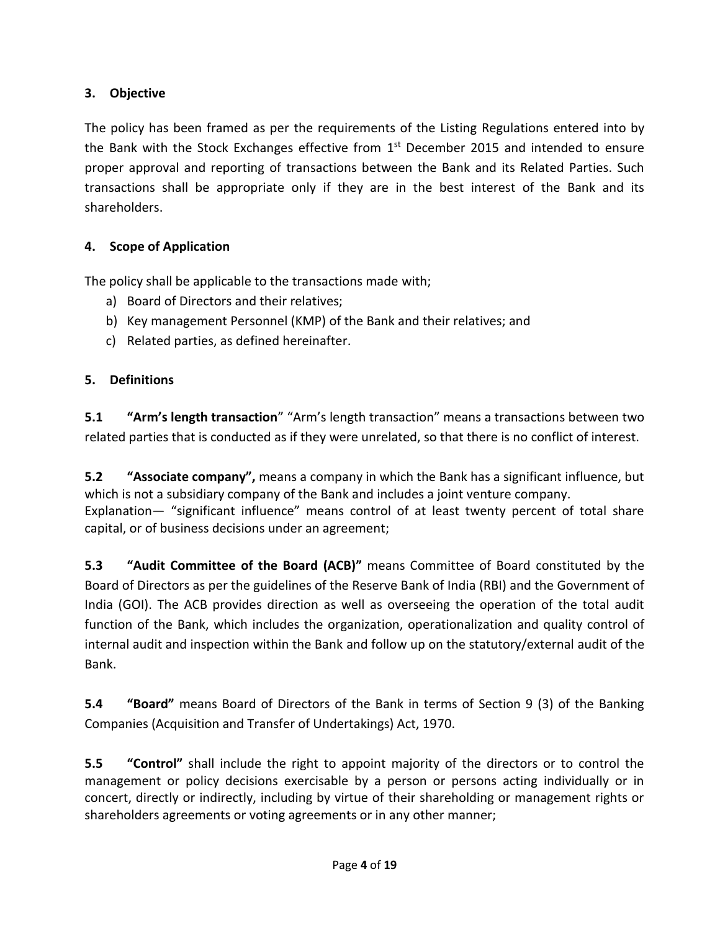# **3. Objective**

The policy has been framed as per the requirements of the Listing Regulations entered into by the Bank with the Stock Exchanges effective from 1<sup>st</sup> December 2015 and intended to ensure proper approval and reporting of transactions between the Bank and its Related Parties. Such transactions shall be appropriate only if they are in the best interest of the Bank and its shareholders.

# **4. Scope of Application**

The policy shall be applicable to the transactions made with;

- a) Board of Directors and their relatives;
- b) Key management Personnel (KMP) of the Bank and their relatives; and
- c) Related parties, as defined hereinafter.

# **5. Definitions**

**5.1 "Arm's length transaction**" "Arm's length transaction" means a transactions between two related parties that is conducted as if they were unrelated, so that there is no conflict of interest.

**5.2 "Associate company",** means a company in which the Bank has a significant influence, but which is not a subsidiary company of the Bank and includes a joint venture company. Explanation— "significant influence" means control of at least twenty percent of total share capital, or of business decisions under an agreement;

**5.3 "Audit Committee of the Board (ACB)"** means Committee of Board constituted by the Board of Directors as per the guidelines of the Reserve Bank of India (RBI) and the Government of India (GOI). The ACB provides direction as well as overseeing the operation of the total audit function of the Bank, which includes the organization, operationalization and quality control of internal audit and inspection within the Bank and follow up on the statutory/external audit of the Bank.

**5.4 "Board"** means Board of Directors of the Bank in terms of Section 9 (3) of the Banking Companies (Acquisition and Transfer of Undertakings) Act, 1970.

**5.5 "Control"** shall include the right to appoint majority of the directors or to control the management or policy decisions exercisable by a person or persons acting individually or in concert, directly or indirectly, including by virtue of their shareholding or management rights or shareholders agreements or voting agreements or in any other manner;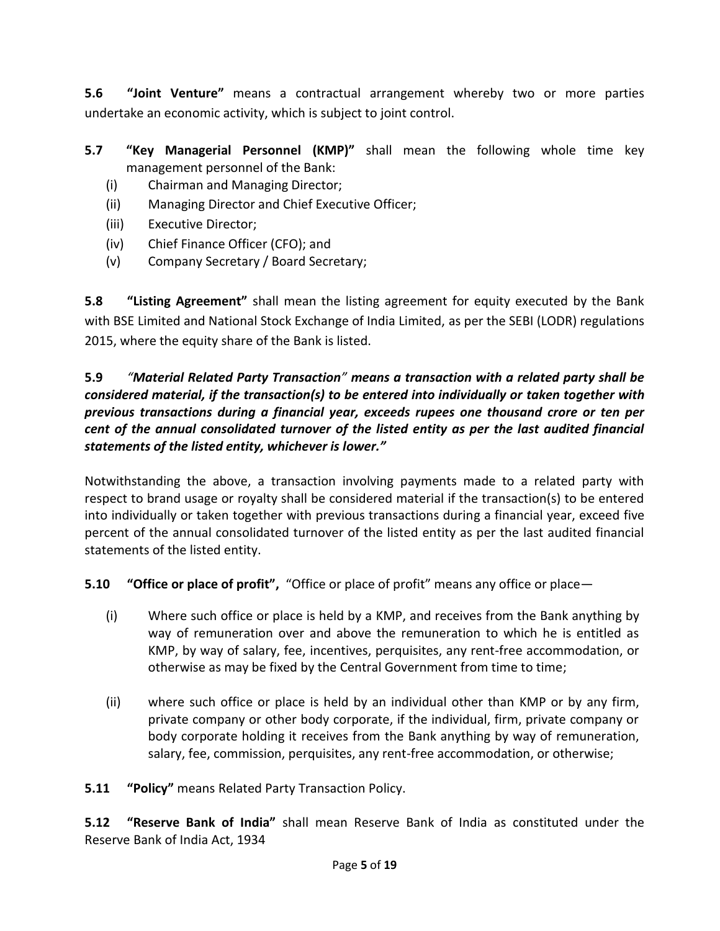**5.6 "Joint Venture"** means a contractual arrangement whereby two or more parties undertake an economic activity, which is subject to joint control.

- **5.7 "Key Managerial Personnel (KMP)"** shall mean the following whole time key management personnel of the Bank:
	- (i) Chairman and Managing Director;
	- (ii) Managing Director and Chief Executive Officer;
	- (iii) Executive Director;
	- (iv) Chief Finance Officer (CFO); and
	- (v) Company Secretary / Board Secretary;

**5.8 "Listing Agreement"** shall mean the listing agreement for equity executed by the Bank with BSE Limited and National Stock Exchange of India Limited, as per the SEBI (LODR) regulations 2015, where the equity share of the Bank is listed.

# **5.9** *"Material Related Party Transaction" means a transaction with a related party shall be considered material, if the transaction(s) to be entered into individually or taken together with previous transactions during a financial year, exceeds rupees one thousand crore or ten per cent of the annual consolidated turnover of the listed entity as per the last audited financial statements of the listed entity, whichever is lower."*

Notwithstanding the above, a transaction involving payments made to a related party with respect to brand usage or royalty shall be considered material if the transaction(s) to be entered into individually or taken together with previous transactions during a financial year, exceed five percent of the annual consolidated turnover of the listed entity as per the last audited financial statements of the listed entity.

**5.10 "Office or place of profit",** "Office or place of profit" means any office or place—

- (i) Where such office or place is held by a KMP, and receives from the Bank anything by way of remuneration over and above the remuneration to which he is entitled as KMP, by way of salary, fee, incentives, perquisites, any rent-free accommodation, or otherwise as may be fixed by the Central Government from time to time;
- (ii) where such office or place is held by an individual other than KMP or by any firm, private company or other body corporate, if the individual, firm, private company or body corporate holding it receives from the Bank anything by way of remuneration, salary, fee, commission, perquisites, any rent-free accommodation, or otherwise;

**5.11 "Policy"** means Related Party Transaction Policy.

**5.12 "Reserve Bank of India"** shall mean Reserve Bank of India as constituted under the Reserve Bank of India Act, 1934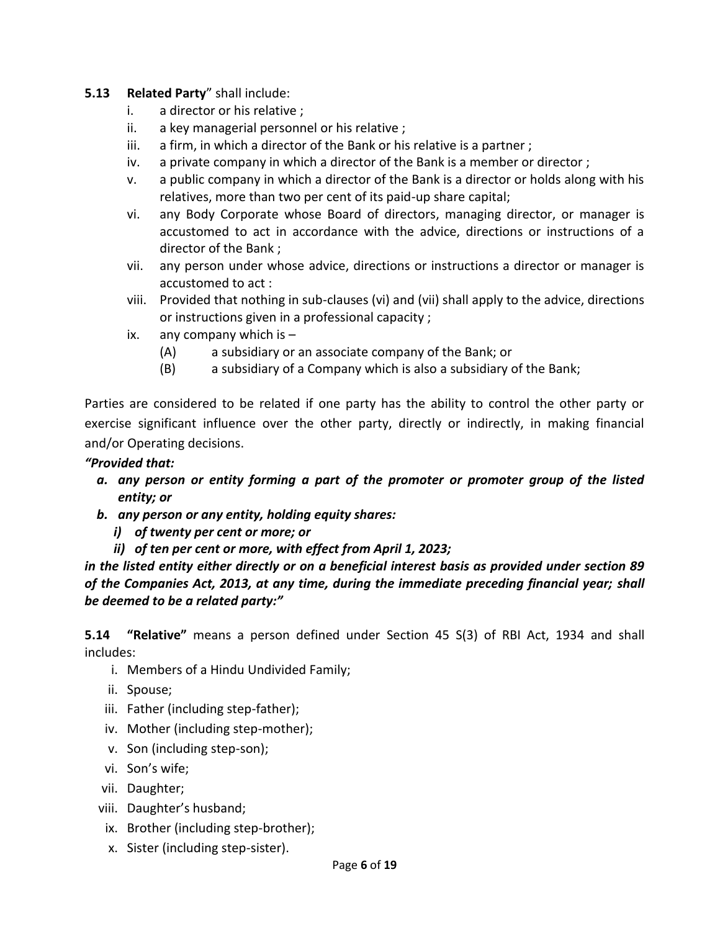#### **5.13 Related Party**" shall include:

- i. a director or his relative ;
- ii. a key managerial personnel or his relative ;
- iii. a firm, in which a director of the Bank or his relative is a partner ;
- iv. a private company in which a director of the Bank is a member or director ;
- v. a public company in which a director of the Bank is a director or holds along with his relatives, more than two per cent of its paid-up share capital;
- vi. any Body Corporate whose Board of directors, managing director, or manager is accustomed to act in accordance with the advice, directions or instructions of a director of the Bank ;
- vii. any person under whose advice, directions or instructions a director or manager is accustomed to act :
- viii. Provided that nothing in sub-clauses (vi) and (vii) shall apply to the advice, directions or instructions given in a professional capacity ;
- ix. any company which is  $-$ 
	- (A) a subsidiary or an associate company of the Bank; or
	- (B) a subsidiary of a Company which is also a subsidiary of the Bank;

Parties are considered to be related if one party has the ability to control the other party or exercise significant influence over the other party, directly or indirectly, in making financial and/or Operating decisions.

#### *"Provided that:*

- *a. any person or entity forming a part of the promoter or promoter group of the listed entity; or*
- *b. any person or any entity, holding equity shares:*
	- *i) of twenty per cent or more; or*
	- *ii) of ten per cent or more, with effect from April 1, 2023;*

*in the listed entity either directly or on a beneficial interest basis as provided under section 89 of the Companies Act, 2013, at any time, during the immediate preceding financial year; shall be deemed to be a related party:"*

**5.14 "Relative"** means a person defined under Section 45 S(3) of RBI Act, 1934 and shall includes:

- i. Members of a Hindu Undivided Family;
- ii. Spouse;
- iii. Father (including step-father);
- iv. Mother (including step-mother);
- v. Son (including step-son);
- vi. Son's wife;
- vii. Daughter;
- viii. Daughter's husband;
- ix. Brother (including step-brother);
- x. Sister (including step-sister).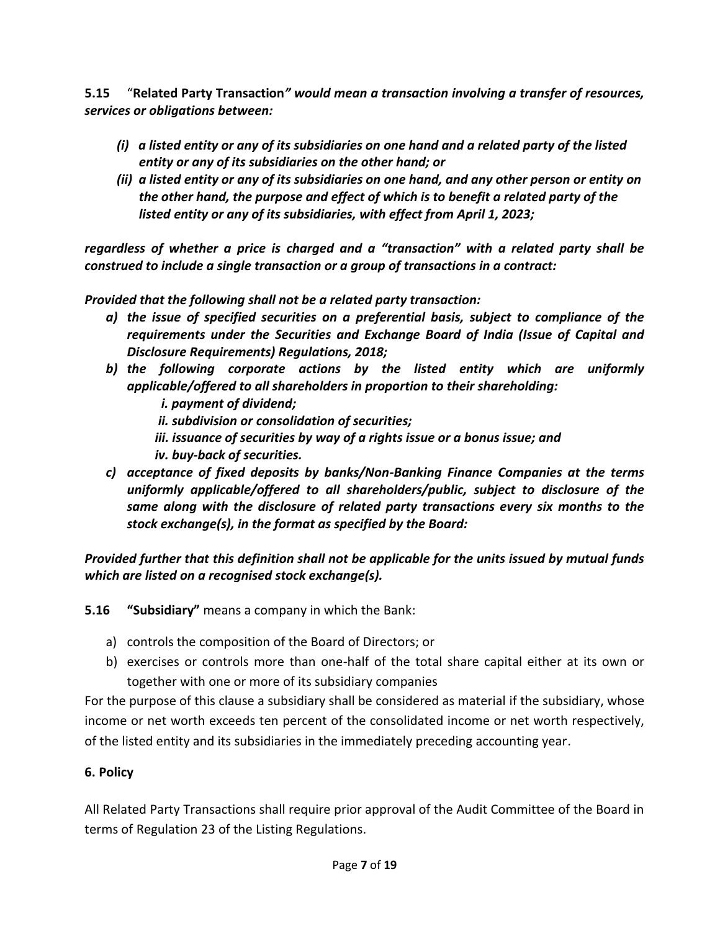**5.15** "**Related Party Transaction***" would mean a transaction involving a transfer of resources, services or obligations between:*

- *(i) a listed entity or any of its subsidiaries on one hand and a related party of the listed entity or any of its subsidiaries on the other hand; or*
- *(ii) a listed entity or any of its subsidiaries on one hand, and any other person or entity on the other hand, the purpose and effect of which is to benefit a related party of the listed entity or any of its subsidiaries, with effect from April 1, 2023;*

*regardless of whether a price is charged and a "transaction" with a related party shall be construed to include a single transaction or a group of transactions in a contract:*

*Provided that the following shall not be a related party transaction:* 

- *a) the issue of specified securities on a preferential basis, subject to compliance of the requirements under the Securities and Exchange Board of India (Issue of Capital and Disclosure Requirements) Regulations, 2018;*
- *b) the following corporate actions by the listed entity which are uniformly applicable/offered to all shareholders in proportion to their shareholding:*
	- *i. payment of dividend; ii. subdivision or consolidation of securities; iii. issuance of securities by way of a rights issue or a bonus issue; and*
	- *iv. buy-back of securities.*
- *c) acceptance of fixed deposits by banks/Non-Banking Finance Companies at the terms uniformly applicable/offered to all shareholders/public, subject to disclosure of the same along with the disclosure of related party transactions every six months to the stock exchange(s), in the format as specified by the Board:*

*Provided further that this definition shall not be applicable for the units issued by mutual funds which are listed on a recognised stock exchange(s).*

**5.16 "Subsidiary"** means a company in which the Bank:

- a) controls the composition of the Board of Directors; or
- b) exercises or controls more than one-half of the total share capital either at its own or together with one or more of its subsidiary companies

For the purpose of this clause a subsidiary shall be considered as material if the subsidiary, whose income or net worth exceeds ten percent of the consolidated income or net worth respectively, of the listed entity and its subsidiaries in the immediately preceding accounting year.

# **6. Policy**

All Related Party Transactions shall require prior approval of the Audit Committee of the Board in terms of Regulation 23 of the Listing Regulations.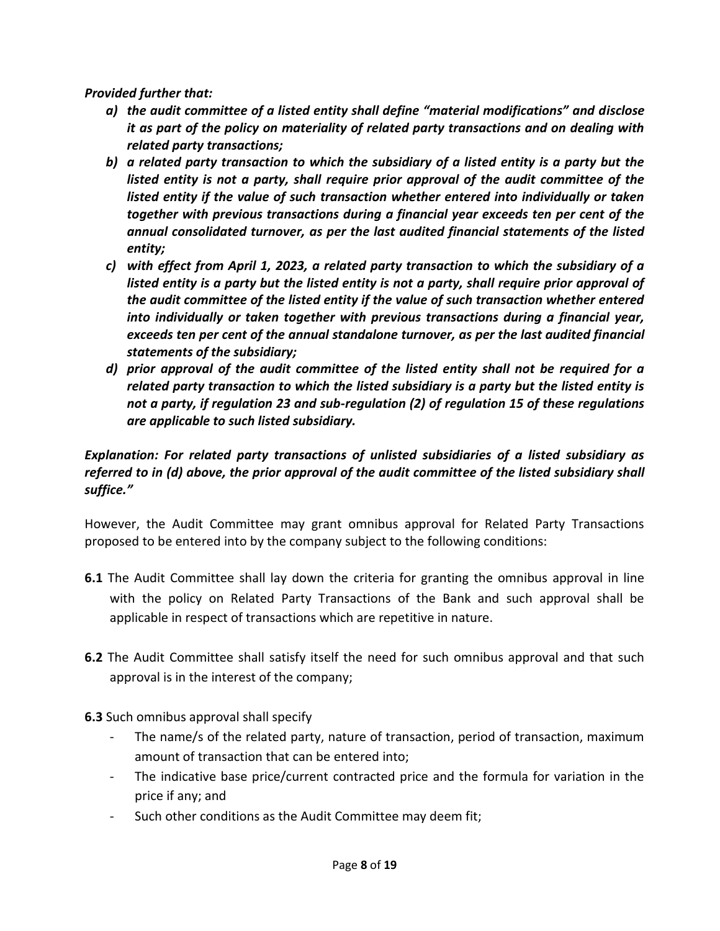*Provided further that:*

- *a) the audit committee of a listed entity shall define "material modifications" and disclose it as part of the policy on materiality of related party transactions and on dealing with related party transactions;*
- *b) a related party transaction to which the subsidiary of a listed entity is a party but the listed entity is not a party, shall require prior approval of the audit committee of the listed entity if the value of such transaction whether entered into individually or taken together with previous transactions during a financial year exceeds ten per cent of the annual consolidated turnover, as per the last audited financial statements of the listed entity;*
- *c) with effect from April 1, 2023, a related party transaction to which the subsidiary of a listed entity is a party but the listed entity is not a party, shall require prior approval of the audit committee of the listed entity if the value of such transaction whether entered into individually or taken together with previous transactions during a financial year, exceeds ten per cent of the annual standalone turnover, as per the last audited financial statements of the subsidiary;*
- *d) prior approval of the audit committee of the listed entity shall not be required for a related party transaction to which the listed subsidiary is a party but the listed entity is not a party, if regulation 23 and sub-regulation (2) of regulation 15 of these regulations are applicable to such listed subsidiary.*

# *Explanation: For related party transactions of unlisted subsidiaries of a listed subsidiary as referred to in (d) above, the prior approval of the audit committee of the listed subsidiary shall suffice."*

However, the Audit Committee may grant omnibus approval for Related Party Transactions proposed to be entered into by the company subject to the following conditions:

- **6.1** The Audit Committee shall lay down the criteria for granting the omnibus approval in line with the policy on Related Party Transactions of the Bank and such approval shall be applicable in respect of transactions which are repetitive in nature.
- **6.2** The Audit Committee shall satisfy itself the need for such omnibus approval and that such approval is in the interest of the company;
- **6.3** Such omnibus approval shall specify
	- The name/s of the related party, nature of transaction, period of transaction, maximum amount of transaction that can be entered into;
	- The indicative base price/current contracted price and the formula for variation in the price if any; and
	- Such other conditions as the Audit Committee may deem fit;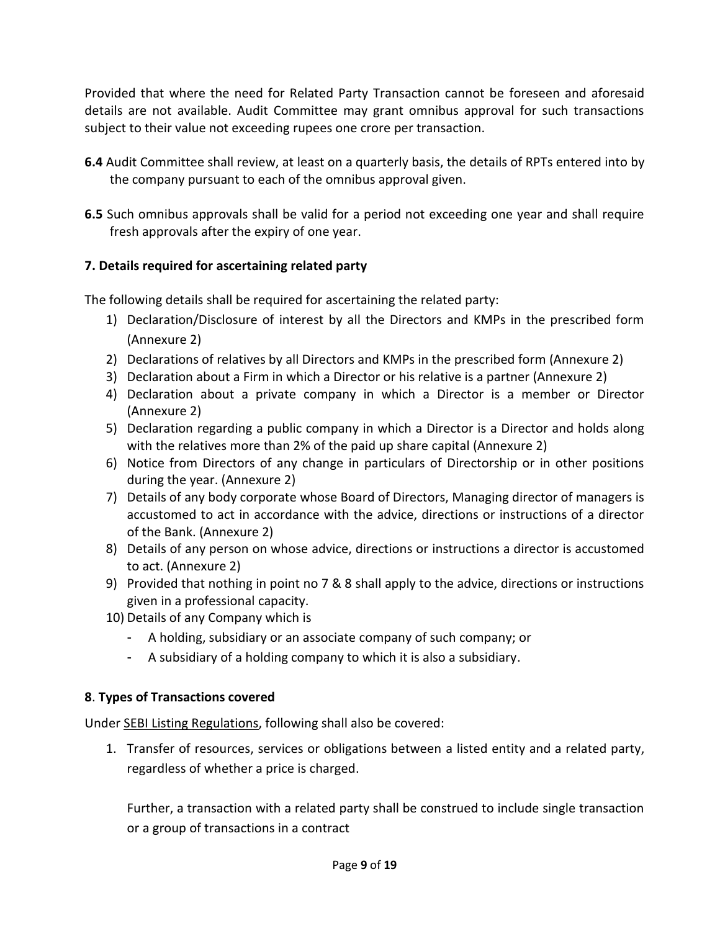Provided that where the need for Related Party Transaction cannot be foreseen and aforesaid details are not available. Audit Committee may grant omnibus approval for such transactions subject to their value not exceeding rupees one crore per transaction.

- **6.4** Audit Committee shall review, at least on a quarterly basis, the details of RPTs entered into by the company pursuant to each of the omnibus approval given.
- **6.5** Such omnibus approvals shall be valid for a period not exceeding one year and shall require fresh approvals after the expiry of one year.

# **7. Details required for ascertaining related party**

The following details shall be required for ascertaining the related party:

- 1) Declaration/Disclosure of interest by all the Directors and KMPs in the prescribed form (Annexure 2)
- 2) Declarations of relatives by all Directors and KMPs in the prescribed form (Annexure 2)
- 3) Declaration about a Firm in which a Director or his relative is a partner (Annexure 2)
- 4) Declaration about a private company in which a Director is a member or Director (Annexure 2)
- 5) Declaration regarding a public company in which a Director is a Director and holds along with the relatives more than 2% of the paid up share capital (Annexure 2)
- 6) Notice from Directors of any change in particulars of Directorship or in other positions during the year. (Annexure 2)
- 7) Details of any body corporate whose Board of Directors, Managing director of managers is accustomed to act in accordance with the advice, directions or instructions of a director of the Bank. (Annexure 2)
- 8) Details of any person on whose advice, directions or instructions a director is accustomed to act. (Annexure 2)
- 9) Provided that nothing in point no 7 & 8 shall apply to the advice, directions or instructions given in a professional capacity.
- 10) Details of any Company which is
	- A holding, subsidiary or an associate company of such company; or
	- A subsidiary of a holding company to which it is also a subsidiary.

### **8**. **Types of Transactions covered**

Under SEBI Listing Regulations, following shall also be covered:

1. Transfer of resources, services or obligations between a listed entity and a related party, regardless of whether a price is charged.

Further, a transaction with a related party shall be construed to include single transaction or a group of transactions in a contract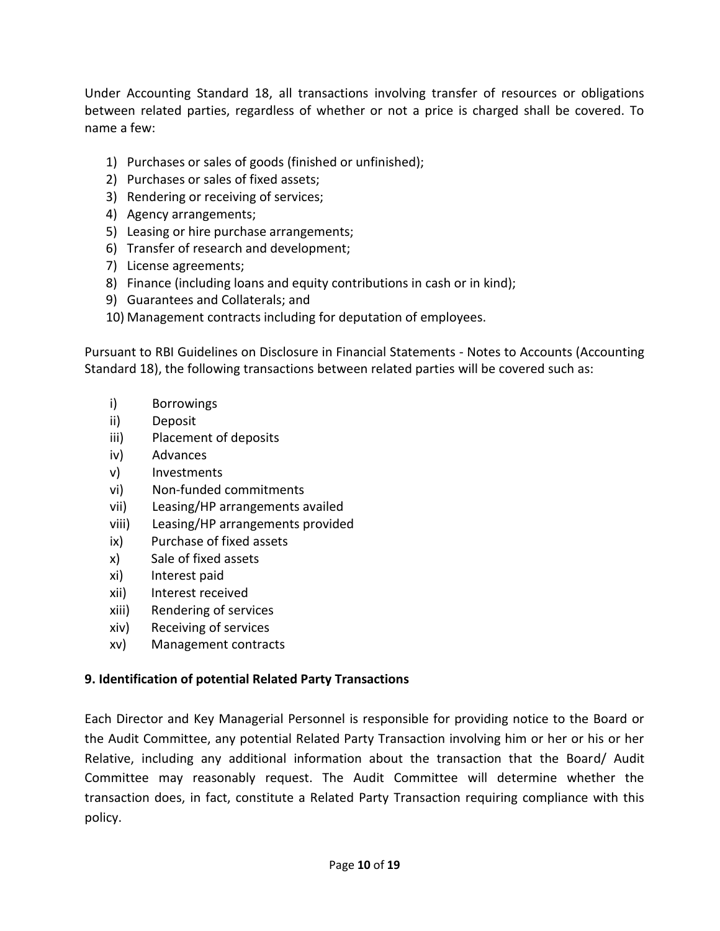Under Accounting Standard 18, all transactions involving transfer of resources or obligations between related parties, regardless of whether or not a price is charged shall be covered. To name a few:

- 1) Purchases or sales of goods (finished or unfinished);
- 2) Purchases or sales of fixed assets;
- 3) Rendering or receiving of services;
- 4) Agency arrangements;
- 5) Leasing or hire purchase arrangements;
- 6) Transfer of research and development;
- 7) License agreements;
- 8) Finance (including loans and equity contributions in cash or in kind);
- 9) Guarantees and Collaterals; and
- 10) Management contracts including for deputation of employees.

Pursuant to RBI Guidelines on Disclosure in Financial Statements - Notes to Accounts (Accounting Standard 18), the following transactions between related parties will be covered such as:

- i) Borrowings
- ii) Deposit
- iii) Placement of deposits
- iv) Advances
- v) Investments
- vi) Non-funded commitments
- vii) Leasing/HP arrangements availed
- viii) Leasing/HP arrangements provided
- ix) Purchase of fixed assets
- x) Sale of fixed assets
- xi) Interest paid
- xii) Interest received
- xiii) Rendering of services
- xiv) Receiving of services
- xv) Management contracts

### **9. Identification of potential Related Party Transactions**

Each Director and Key Managerial Personnel is responsible for providing notice to the Board or the Audit Committee, any potential Related Party Transaction involving him or her or his or her Relative, including any additional information about the transaction that the Board/ Audit Committee may reasonably request. The Audit Committee will determine whether the transaction does, in fact, constitute a Related Party Transaction requiring compliance with this policy.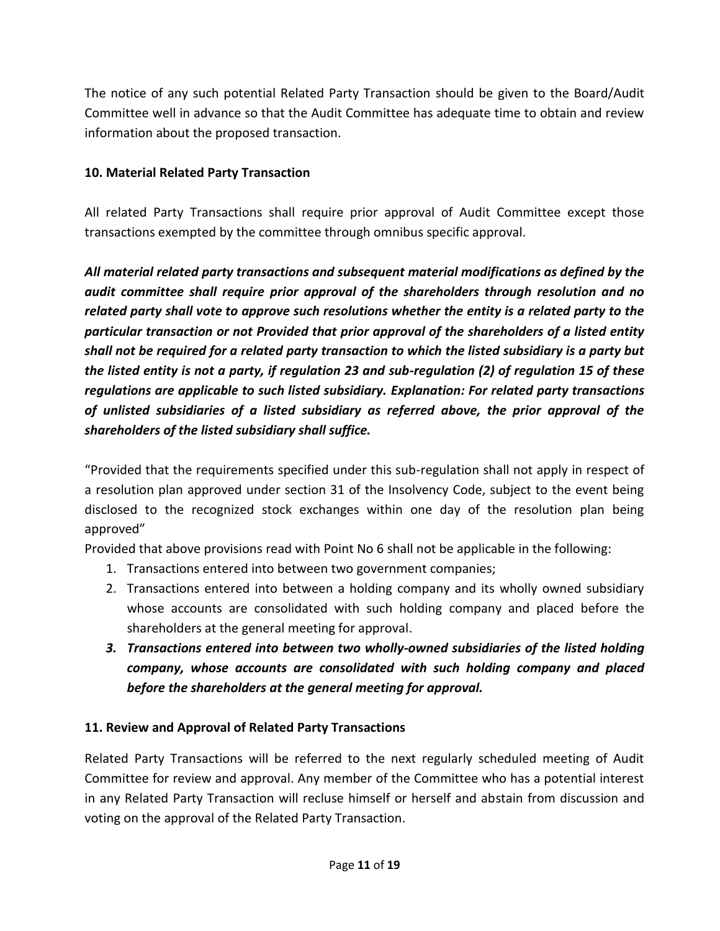The notice of any such potential Related Party Transaction should be given to the Board/Audit Committee well in advance so that the Audit Committee has adequate time to obtain and review information about the proposed transaction.

# **10. Material Related Party Transaction**

All related Party Transactions shall require prior approval of Audit Committee except those transactions exempted by the committee through omnibus specific approval.

*All material related party transactions and subsequent material modifications as defined by the audit committee shall require prior approval of the shareholders through resolution and no related party shall vote to approve such resolutions whether the entity is a related party to the particular transaction or not Provided that prior approval of the shareholders of a listed entity shall not be required for a related party transaction to which the listed subsidiary is a party but the listed entity is not a party, if regulation 23 and sub-regulation (2) of regulation 15 of these regulations are applicable to such listed subsidiary. Explanation: For related party transactions of unlisted subsidiaries of a listed subsidiary as referred above, the prior approval of the shareholders of the listed subsidiary shall suffice.*

"Provided that the requirements specified under this sub-regulation shall not apply in respect of a resolution plan approved under section 31 of the Insolvency Code, subject to the event being disclosed to the recognized stock exchanges within one day of the resolution plan being approved"

Provided that above provisions read with Point No 6 shall not be applicable in the following:

- 1. Transactions entered into between two government companies;
- 2. Transactions entered into between a holding company and its wholly owned subsidiary whose accounts are consolidated with such holding company and placed before the shareholders at the general meeting for approval.
- *3. Transactions entered into between two wholly-owned subsidiaries of the listed holding company, whose accounts are consolidated with such holding company and placed before the shareholders at the general meeting for approval.*

# **11. Review and Approval of Related Party Transactions**

Related Party Transactions will be referred to the next regularly scheduled meeting of Audit Committee for review and approval. Any member of the Committee who has a potential interest in any Related Party Transaction will recluse himself or herself and abstain from discussion and voting on the approval of the Related Party Transaction.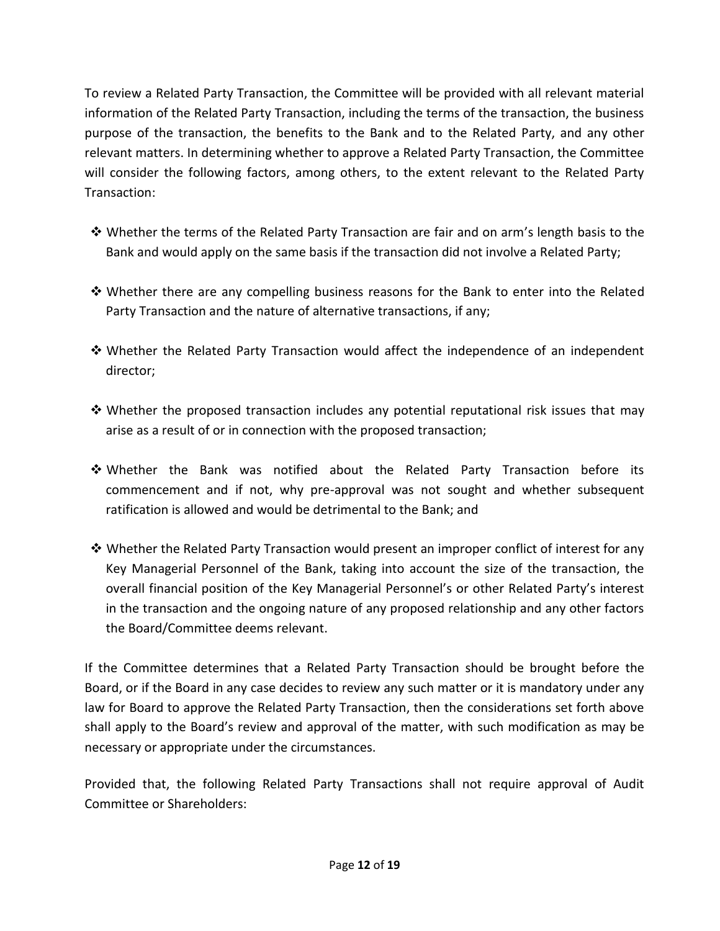To review a Related Party Transaction, the Committee will be provided with all relevant material information of the Related Party Transaction, including the terms of the transaction, the business purpose of the transaction, the benefits to the Bank and to the Related Party, and any other relevant matters. In determining whether to approve a Related Party Transaction, the Committee will consider the following factors, among others, to the extent relevant to the Related Party Transaction:

- Whether the terms of the Related Party Transaction are fair and on arm's length basis to the Bank and would apply on the same basis if the transaction did not involve a Related Party;
- $\clubsuit$  Whether there are any compelling business reasons for the Bank to enter into the Related Party Transaction and the nature of alternative transactions, if any;
- Whether the Related Party Transaction would affect the independence of an independent director;
- $\clubsuit$  Whether the proposed transaction includes any potential reputational risk issues that may arise as a result of or in connection with the proposed transaction;
- Whether the Bank was notified about the Related Party Transaction before its commencement and if not, why pre-approval was not sought and whether subsequent ratification is allowed and would be detrimental to the Bank; and
- $\clubsuit$  Whether the Related Party Transaction would present an improper conflict of interest for any Key Managerial Personnel of the Bank, taking into account the size of the transaction, the overall financial position of the Key Managerial Personnel's or other Related Party's interest in the transaction and the ongoing nature of any proposed relationship and any other factors the Board/Committee deems relevant.

If the Committee determines that a Related Party Transaction should be brought before the Board, or if the Board in any case decides to review any such matter or it is mandatory under any law for Board to approve the Related Party Transaction, then the considerations set forth above shall apply to the Board's review and approval of the matter, with such modification as may be necessary or appropriate under the circumstances.

Provided that, the following Related Party Transactions shall not require approval of Audit Committee or Shareholders: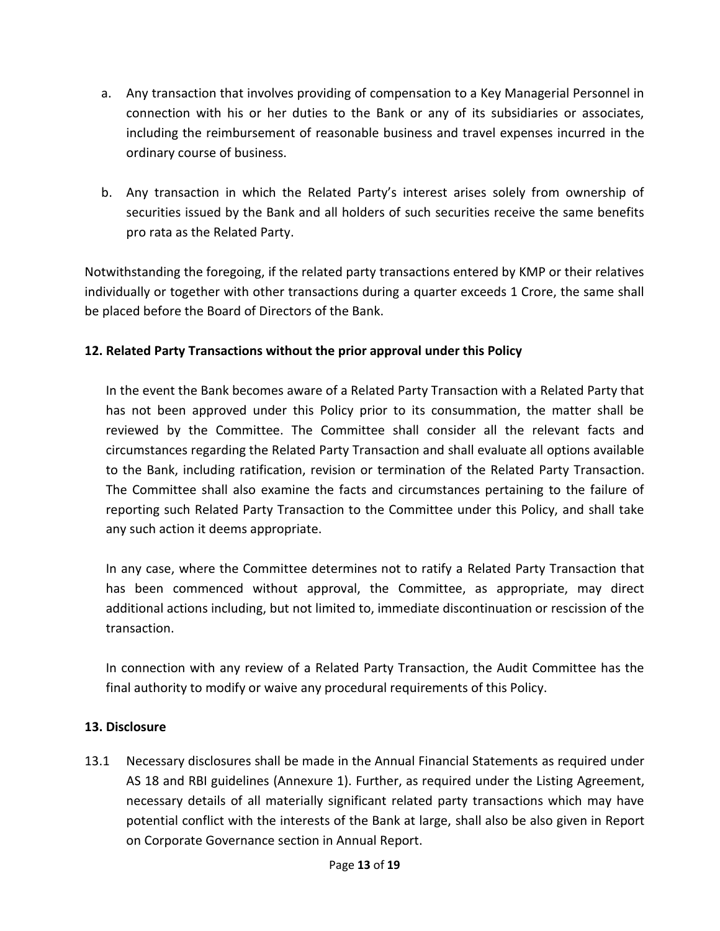- a. Any transaction that involves providing of compensation to a Key Managerial Personnel in connection with his or her duties to the Bank or any of its subsidiaries or associates, including the reimbursement of reasonable business and travel expenses incurred in the ordinary course of business.
- b. Any transaction in which the Related Party's interest arises solely from ownership of securities issued by the Bank and all holders of such securities receive the same benefits pro rata as the Related Party.

Notwithstanding the foregoing, if the related party transactions entered by KMP or their relatives individually or together with other transactions during a quarter exceeds 1 Crore, the same shall be placed before the Board of Directors of the Bank.

# **12. Related Party Transactions without the prior approval under this Policy**

In the event the Bank becomes aware of a Related Party Transaction with a Related Party that has not been approved under this Policy prior to its consummation, the matter shall be reviewed by the Committee. The Committee shall consider all the relevant facts and circumstances regarding the Related Party Transaction and shall evaluate all options available to the Bank, including ratification, revision or termination of the Related Party Transaction. The Committee shall also examine the facts and circumstances pertaining to the failure of reporting such Related Party Transaction to the Committee under this Policy, and shall take any such action it deems appropriate.

In any case, where the Committee determines not to ratify a Related Party Transaction that has been commenced without approval, the Committee, as appropriate, may direct additional actions including, but not limited to, immediate discontinuation or rescission of the transaction.

In connection with any review of a Related Party Transaction, the Audit Committee has the final authority to modify or waive any procedural requirements of this Policy.

### **13. Disclosure**

13.1 Necessary disclosures shall be made in the Annual Financial Statements as required under AS 18 and RBI guidelines (Annexure 1). Further, as required under the Listing Agreement, necessary details of all materially significant related party transactions which may have potential conflict with the interests of the Bank at large, shall also be also given in Report on Corporate Governance section in Annual Report.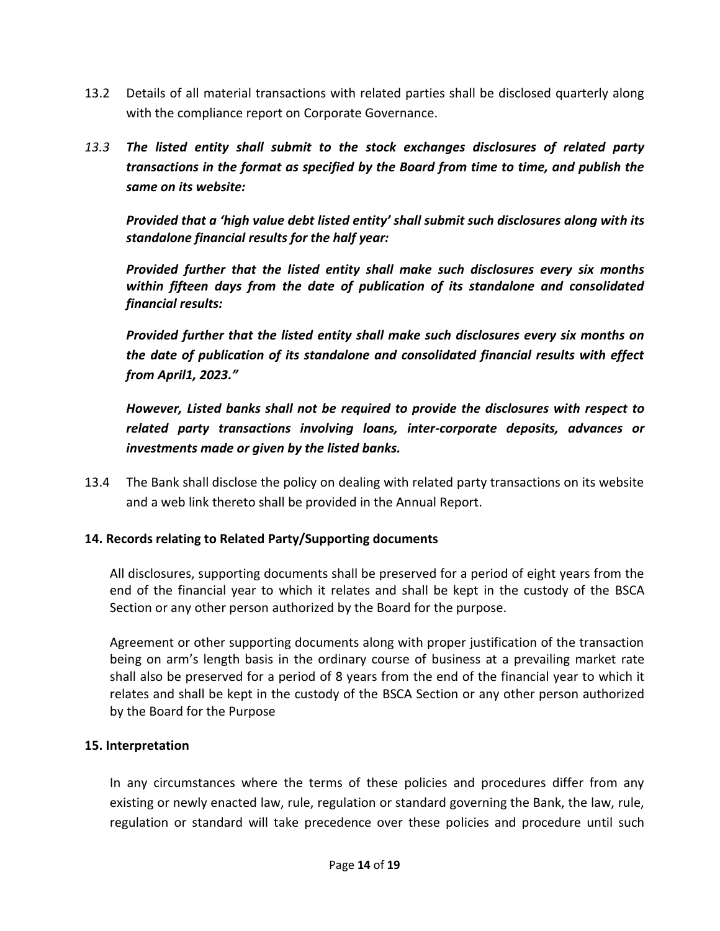- 13.2 Details of all material transactions with related parties shall be disclosed quarterly along with the compliance report on Corporate Governance.
- *13.3 The listed entity shall submit to the stock exchanges disclosures of related party transactions in the format as specified by the Board from time to time, and publish the same on its website:*

*Provided that a 'high value debt listed entity' shall submit such disclosures along with its standalone financial results for the half year:*

*Provided further that the listed entity shall make such disclosures every six months within fifteen days from the date of publication of its standalone and consolidated financial results:*

*Provided further that the listed entity shall make such disclosures every six months on the date of publication of its standalone and consolidated financial results with effect from April1, 2023."*

*However, Listed banks shall not be required to provide the disclosures with respect to related party transactions involving loans, inter-corporate deposits, advances or investments made or given by the listed banks.*

13.4 The Bank shall disclose the policy on dealing with related party transactions on its website and a web link thereto shall be provided in the Annual Report.

### **14. Records relating to Related Party/Supporting documents**

All disclosures, supporting documents shall be preserved for a period of eight years from the end of the financial year to which it relates and shall be kept in the custody of the BSCA Section or any other person authorized by the Board for the purpose.

Agreement or other supporting documents along with proper justification of the transaction being on arm's length basis in the ordinary course of business at a prevailing market rate shall also be preserved for a period of 8 years from the end of the financial year to which it relates and shall be kept in the custody of the BSCA Section or any other person authorized by the Board for the Purpose

#### **15. Interpretation**

In any circumstances where the terms of these policies and procedures differ from any existing or newly enacted law, rule, regulation or standard governing the Bank, the law, rule, regulation or standard will take precedence over these policies and procedure until such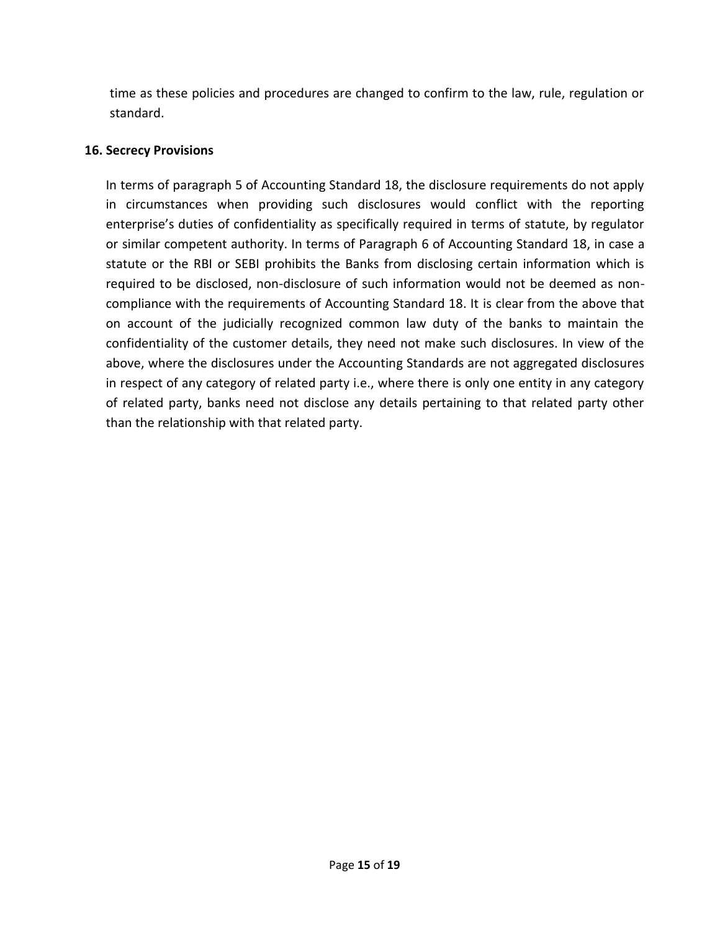time as these policies and procedures are changed to confirm to the law, rule, regulation or standard.

#### **16. Secrecy Provisions**

In terms of paragraph 5 of Accounting Standard 18, the disclosure requirements do not apply in circumstances when providing such disclosures would conflict with the reporting enterprise's duties of confidentiality as specifically required in terms of statute, by regulator or similar competent authority. In terms of Paragraph 6 of Accounting Standard 18, in case a statute or the RBI or SEBI prohibits the Banks from disclosing certain information which is required to be disclosed, non-disclosure of such information would not be deemed as noncompliance with the requirements of Accounting Standard 18. It is clear from the above that on account of the judicially recognized common law duty of the banks to maintain the confidentiality of the customer details, they need not make such disclosures. In view of the above, where the disclosures under the Accounting Standards are not aggregated disclosures in respect of any category of related party i.e., where there is only one entity in any category of related party, banks need not disclose any details pertaining to that related party other than the relationship with that related party.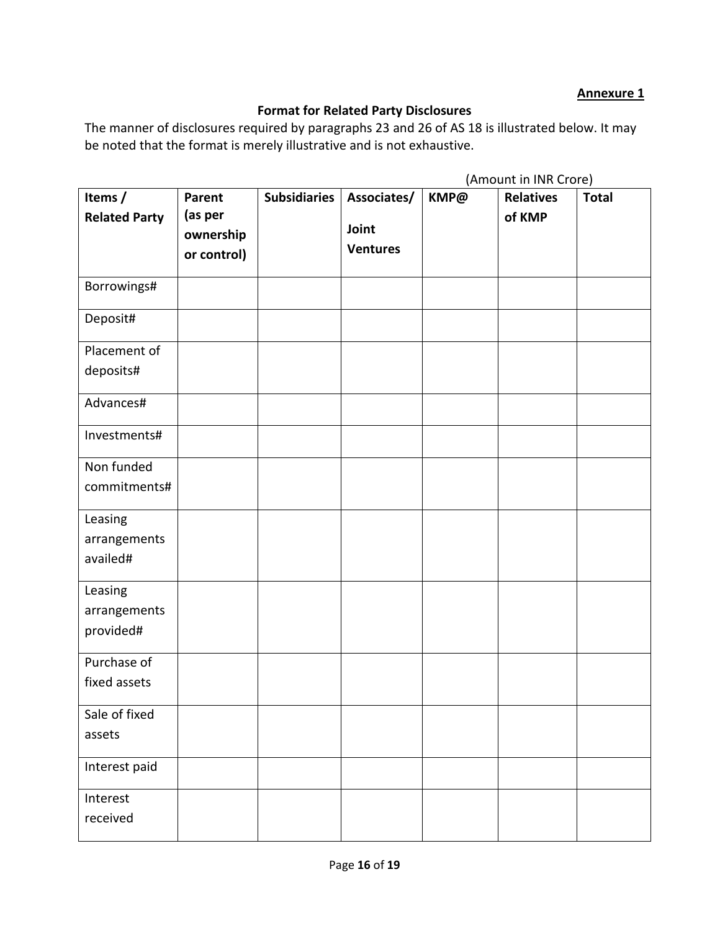#### **Annexure 1**

# **Format for Related Party Disclosures**

The manner of disclosures required by paragraphs 23 and 26 of AS 18 is illustrated below. It may be noted that the format is merely illustrative and is not exhaustive.

|                                      |                                                      |                     |                                         | (Amount in INR Crore) |                            |              |
|--------------------------------------|------------------------------------------------------|---------------------|-----------------------------------------|-----------------------|----------------------------|--------------|
| Items /<br><b>Related Party</b>      | <b>Parent</b><br>(as per<br>ownership<br>or control) | <b>Subsidiaries</b> | Associates/<br>Joint<br><b>Ventures</b> | KMP@                  | <b>Relatives</b><br>of KMP | <b>Total</b> |
| Borrowings#                          |                                                      |                     |                                         |                       |                            |              |
| Deposit#                             |                                                      |                     |                                         |                       |                            |              |
| Placement of<br>deposits#            |                                                      |                     |                                         |                       |                            |              |
| Advances#                            |                                                      |                     |                                         |                       |                            |              |
| Investments#                         |                                                      |                     |                                         |                       |                            |              |
| Non funded<br>commitments#           |                                                      |                     |                                         |                       |                            |              |
| Leasing<br>arrangements<br>availed#  |                                                      |                     |                                         |                       |                            |              |
| Leasing<br>arrangements<br>provided# |                                                      |                     |                                         |                       |                            |              |
| Purchase of<br>fixed assets          |                                                      |                     |                                         |                       |                            |              |
| Sale of fixed<br>assets              |                                                      |                     |                                         |                       |                            |              |
| Interest paid                        |                                                      |                     |                                         |                       |                            |              |
| Interest<br>received                 |                                                      |                     |                                         |                       |                            |              |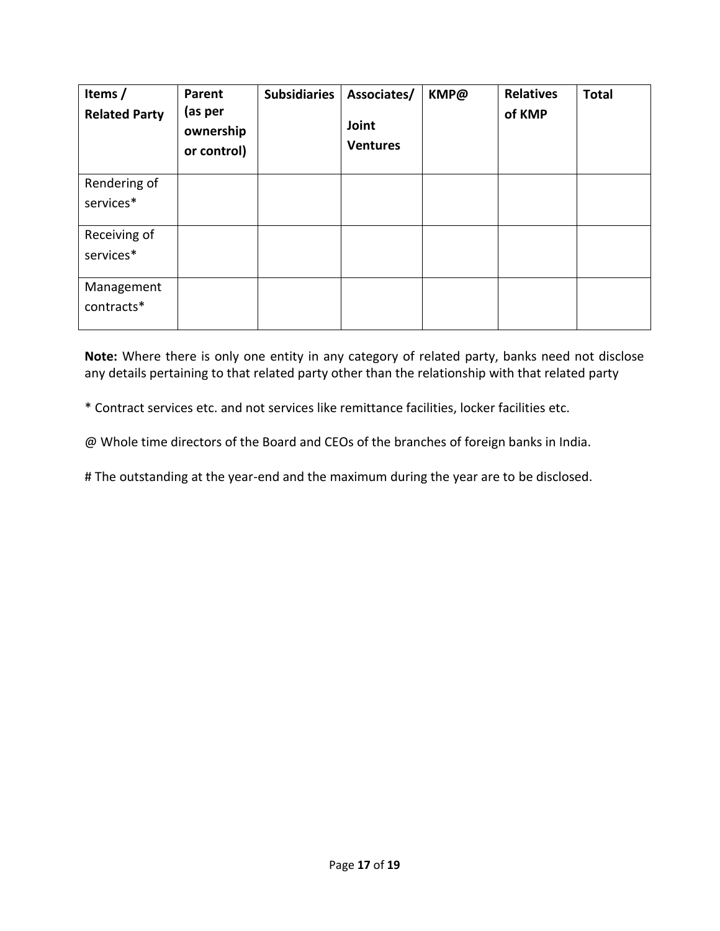| Items /<br><b>Related Party</b> | Parent<br>(as per<br>ownership<br>or control) | <b>Subsidiaries</b> | Associates/<br>Joint<br><b>Ventures</b> | KMP@ | <b>Relatives</b><br>of KMP | <b>Total</b> |
|---------------------------------|-----------------------------------------------|---------------------|-----------------------------------------|------|----------------------------|--------------|
| Rendering of                    |                                               |                     |                                         |      |                            |              |
| services*                       |                                               |                     |                                         |      |                            |              |
| Receiving of                    |                                               |                     |                                         |      |                            |              |
| services*                       |                                               |                     |                                         |      |                            |              |
| Management                      |                                               |                     |                                         |      |                            |              |
| contracts*                      |                                               |                     |                                         |      |                            |              |

**Note:** Where there is only one entity in any category of related party, banks need not disclose any details pertaining to that related party other than the relationship with that related party

\* Contract services etc. and not services like remittance facilities, locker facilities etc.

@ Whole time directors of the Board and CEOs of the branches of foreign banks in India.

# The outstanding at the year-end and the maximum during the year are to be disclosed.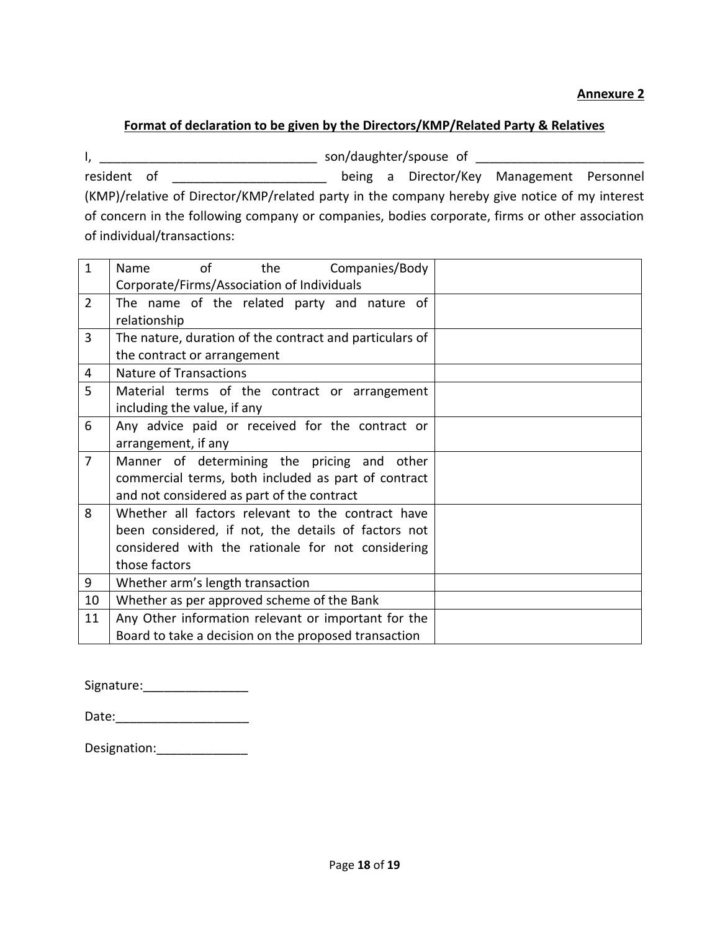#### **Annexure 2**

#### **Format of declaration to be given by the Directors/KMP/Related Party & Relatives**

I, \_\_\_\_\_\_\_\_\_\_\_\_\_\_\_\_\_\_\_\_\_\_\_\_\_\_\_\_\_\_\_ son/daughter/spouse of \_\_\_\_\_\_\_\_\_\_\_\_\_\_\_\_\_\_\_\_\_\_\_\_ resident of \_\_\_\_\_\_\_\_\_\_\_\_\_\_\_\_\_\_\_\_\_ being a Director/Key Management Personnel (KMP)/relative of Director/KMP/related party in the company hereby give notice of my interest of concern in the following company or companies, bodies corporate, firms or other association of individual/transactions:

| $\mathbf{1}$   | Companies/Body<br>of<br>the<br>Name                     |  |
|----------------|---------------------------------------------------------|--|
|                | Corporate/Firms/Association of Individuals              |  |
| $\overline{2}$ | The name of the related party and nature of             |  |
|                | relationship                                            |  |
| 3              | The nature, duration of the contract and particulars of |  |
|                | the contract or arrangement                             |  |
| 4              | <b>Nature of Transactions</b>                           |  |
| 5              | Material terms of the contract or arrangement           |  |
|                | including the value, if any                             |  |
| 6              | Any advice paid or received for the contract or         |  |
|                | arrangement, if any                                     |  |
| $\overline{7}$ | Manner of determining the pricing and other             |  |
|                | commercial terms, both included as part of contract     |  |
|                | and not considered as part of the contract              |  |
| 8              | Whether all factors relevant to the contract have       |  |
|                | been considered, if not, the details of factors not     |  |
|                | considered with the rationale for not considering       |  |
|                | those factors                                           |  |
| 9              | Whether arm's length transaction                        |  |
| 10             | Whether as per approved scheme of the Bank              |  |
| 11             | Any Other information relevant or important for the     |  |
|                | Board to take a decision on the proposed transaction    |  |

Signature:

| Date: |  |  |
|-------|--|--|
|       |  |  |

Designation: \_\_\_\_\_\_\_\_\_\_\_\_\_\_\_\_